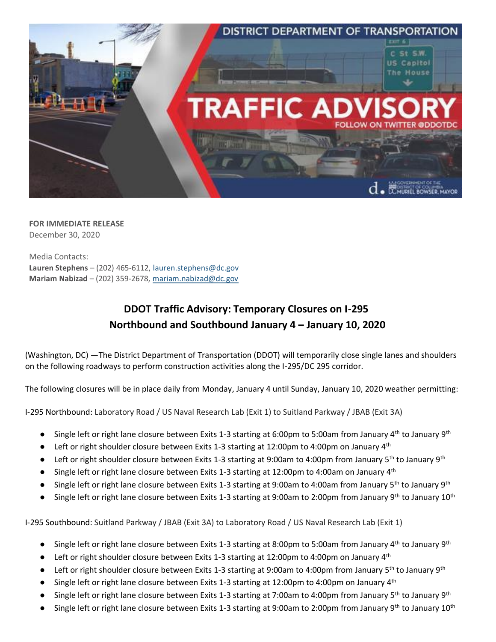

**FOR IMMEDIATE RELEASE** December 30, 2020

Media Contacts: **Lauren Stephens** – (202) 465-6112[, lauren.stephens@dc.gov](mailto:lauren.stephens@dc.gov) **Mariam Nabizad** – (202) 359-2678, [mariam.nabizad@dc.gov](mailto:mariam.nabizad@dc.gov)

## **DDOT Traffic Advisory: Temporary Closures on I-295 Northbound and Southbound January 4 – January 10, 2020**

(Washington, DC) —The District Department of Transportation (DDOT) will temporarily close single lanes and shoulders on the following roadways to perform construction activities along the I-295/DC 295 corridor.

The following closures will be in place daily from Monday, January 4 until Sunday, January 10, 2020 weather permitting:

I-295 Northbound: Laboratory Road / US Naval Research Lab (Exit 1) to Suitland Parkway / JBAB (Exit 3A)

- **•** Single left or right lane closure between Exits 1-3 starting at 6:00pm to 5:00am from January 4<sup>th</sup> to January 9<sup>th</sup>
- **•** Left or right shoulder closure between Exits 1-3 starting at 12:00pm to 4:00pm on January  $4<sup>th</sup>$
- Left or right shoulder closure between Exits 1-3 starting at 9:00am to 4:00pm from January 5<sup>th</sup> to January 9<sup>th</sup>
- Single left or right lane closure between Exits 1-3 starting at 12:00pm to 4:00am on January 4<sup>th</sup>
- Single left or right lane closure between Exits 1-3 starting at 9:00am to 4:00am from January 5<sup>th</sup> to January 9<sup>th</sup>
- Single left or right lane closure between Exits 1-3 starting at 9:00am to 2:00pm from January 9th to January 10th

I-295 Southbound: Suitland Parkway / JBAB (Exit 3A) to Laboratory Road / US Naval Research Lab (Exit 1)

- Single left or right lane closure between Exits 1-3 starting at 8:00pm to 5:00am from January 4<sup>th</sup> to January 9<sup>th</sup>
- Left or right shoulder closure between Exits 1-3 starting at 12:00pm to 4:00pm on January 4<sup>th</sup>
- Left or right shoulder closure between Exits 1-3 starting at 9:00am to 4:00pm from January 5<sup>th</sup> to January 9<sup>th</sup>
- Single left or right lane closure between Exits 1-3 starting at 12:00pm to 4:00pm on January 4<sup>th</sup>
- Single left or right lane closure between Exits 1-3 starting at 7:00am to 4:00pm from January 5<sup>th</sup> to January 9<sup>th</sup>
- Single left or right lane closure between Exits 1-3 starting at 9:00am to 2:00pm from January 9<sup>th</sup> to January 10<sup>th</sup>